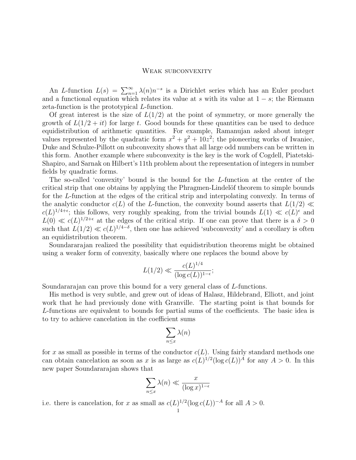## WEAK SUBCONVEXITY

An L-function  $L(s) = \sum_{n=1}^{\infty} \lambda(n) n^{-s}$  is a Dirichlet series which has an Euler product and a functional equation which relates its value at s with its value at  $1 - s$ ; the Riemann zeta-function is the prototypical L-function.

Of great interest is the size of  $L(1/2)$  at the point of symmetry, or more generally the growth of  $L(1/2 + it)$  for large t. Good bounds for these quantities can be used to deduce equidistribution of arithmetic quantities. For example, Ramanujan asked about integer values represented by the quadratic form  $x^2 + y^2 + 10z^2$ ; the pioneering works of Iwaniec, Duke and Schulze-Pillott on subconvexity shows that all large odd numbers can be written in this form. Another example where subconvexity is the key is the work of Cogdell, Piatetski-Shapiro, and Sarnak on Hilbert's 11th problem about the representation of integers in number fields by quadratic forms.

The so-called 'convexity' bound is the bound for the L-function at the center of the critical strip that one obtains by applying the Phragmen-Lindelöf theorem to simple bounds for the L-function at the edges of the critical strip and interpolating convexly. In terms of the analytic conductor  $c(L)$  of the L-function, the convexity bound asserts that  $L(1/2) \ll$  $c(L)^{1/4+\epsilon}$ ; this follows, very roughly speaking, from the trivial bounds  $L(1) \ll c(L)^{\epsilon}$  and  $L(0) \ll c(L)^{1/2+\epsilon}$  at the edges of the critical strip. If one can prove that there is a  $\delta > 0$ such that  $L(1/2) \ll c(L)^{1/4-\delta}$ , then one has achieved 'subconvexity' and a corollary is often an equidistribution theorem.

Soundararajan realized the possibility that equidistribution theorems might be obtained using a weaker form of convexity, basically where one replaces the bound above by

$$
L(1/2) \ll \frac{c(L)^{1/4}}{(\log c(L))^{1-\epsilon}};
$$

Soundararajan can prove this bound for a very general class of L-functions.

His method is very subtle, and grew out of ideas of Halasz, Hildebrand, Elliott, and joint work that he had previously done with Granville. The starting point is that bounds for L-functions are equivalent to bounds for partial sums of the coefficients. The basic idea is to try to achieve cancelation in the coefficient sums

$$
\sum_{n\leq x}\lambda(n)
$$

for x as small as possible in terms of the conductor  $c(L)$ . Using fairly standard methods one can obtain cancelation as soon as x is as large as  $c(L)^{1/2} (\log c(L))^A$  for any  $A > 0$ . In this new paper Soundararajan shows that

$$
\sum_{n \le x} \lambda(n) \ll \frac{x}{(\log x)^{1-\epsilon}}
$$

i.e. there is cancelation, for x as small as  $c(L)^{1/2} (\log c(L))^{-A}$  for all  $A > 0$ .